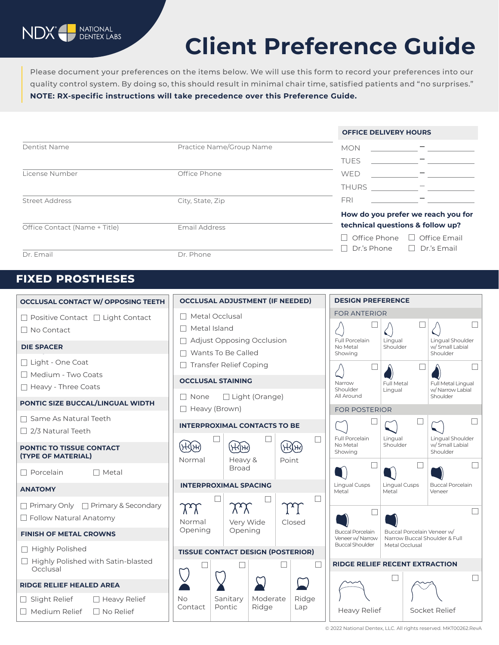

# **Client Preference Guide**

Please document your preferences on the items below. We will use this form to record your preferences into our quality control system. By doing so, this should result in minimal chair time, satisfied patients and "no surprises." **NOTE: RX-specific instructions will take precedence over this Preference Guide.**

|                               | Practice Name/Group Name | <b>OFFICE DELIVERY HOURS</b>                                                        |  |  |
|-------------------------------|--------------------------|-------------------------------------------------------------------------------------|--|--|
| Dentist Name                  |                          | <b>MON</b>                                                                          |  |  |
|                               |                          | <b>TUES</b>                                                                         |  |  |
| License Number                | Office Phone             | <b>WED</b>                                                                          |  |  |
|                               |                          | <b>THURS</b>                                                                        |  |  |
| <b>Street Address</b>         | City, State, Zip         | <b>FRI</b>                                                                          |  |  |
| Office Contact (Name + Title) | Email Address            | How do you prefer we reach you for<br>technical questions & follow up?              |  |  |
|                               |                          | $\Box$ Office Email<br>$\Box$ Office Phone<br>$\Box$ Dr.'s Phone $\Box$ Dr.'s Email |  |  |
| Dr. Email                     | Dr. Phone                |                                                                                     |  |  |

## **FIXED PROSTHESES**

| <b>OCCLUSAL CONTACT W/ OPPOSING TEETH</b>                                  | <b>OCCLUSAL ADJUSTMENT (IF NEEDED)</b>                                               | <b>DESIGN PREFERENCE</b>                                                                                       |  |  |  |  |
|----------------------------------------------------------------------------|--------------------------------------------------------------------------------------|----------------------------------------------------------------------------------------------------------------|--|--|--|--|
| $\Box$ Positive Contact $\Box$ Light Contact<br>$\Box$ No Contact          | Metal Occlusal<br>$\mathbb{R}^n$<br>Metal Island<br>$\Box$                           | <b>FOR ANTERIOR</b><br>$\Box$                                                                                  |  |  |  |  |
| <b>DIE SPACER</b>                                                          | <b>Adjust Opposing Occlusion</b><br>$\Box$<br>Wants To Be Called<br>П                | Full Porcelain<br>Lingual<br>Lingual Shoulder<br>Shoulder<br>w/Small Labial<br>No Metal                        |  |  |  |  |
| □ Light - One Coat<br>Medium - Two Coats                                   | <b>Transfer Relief Coping</b><br>$\Box$                                              | Shoulder<br>Showing                                                                                            |  |  |  |  |
| $\Box$ Heavy - Three Coats                                                 | <b>OCCLUSAL STAINING</b>                                                             | Narrow<br>Full Metal<br>Full Metal Lingual                                                                     |  |  |  |  |
|                                                                            | □ Light (Orange)<br>$\Box$ None                                                      | Shoulder<br>w/Narrow Labial<br>Lingual<br>All Around<br>Shoulder                                               |  |  |  |  |
| PONTIC SIZE BUCCAL/LINGUAL WIDTH                                           | □ Heavy (Brown)                                                                      | <b>FOR POSTERIOR</b>                                                                                           |  |  |  |  |
| $\Box$ Same As Natural Teeth<br>$\Box$ 2/3 Natural Teeth                   | <b>INTERPROXIMAL CONTACTS TO BE</b>                                                  |                                                                                                                |  |  |  |  |
| <b>PONTIC TO TISSUE CONTACT</b><br>(TYPE OF MATERIAL)                      | $(\forall x)$<br>$(\mathcal{H}[\mathcal{H}])$<br>ᢣᡰᢂᡳ<br>Point<br>Normal<br>Heavy &  | Full Porcelain<br>Lingual<br>Lingual Shoulder<br>w/Small Labial<br>No Metal<br>Shoulder<br>Showing<br>Shoulder |  |  |  |  |
| $\Box$ Porcelain<br>$\Box$ Metal                                           | <b>Broad</b>                                                                         |                                                                                                                |  |  |  |  |
| <b>ANATOMY</b>                                                             | <b>INTERPROXIMAL SPACING</b>                                                         | Lingual Cusps<br><b>Buccal Porcelain</b><br><b>Lingual Cusps</b><br>Metal<br>Metal<br>Veneer                   |  |  |  |  |
| $\Box$ Primary Only $\Box$ Primary & Secondary<br>□ Follow Natural Anatomy | $\chi\chi$<br>TV<br>M<br>Very Wide<br>Normal<br>Closed                               |                                                                                                                |  |  |  |  |
| <b>FINISH OF METAL CROWNS</b>                                              | Opening<br>Opening                                                                   | <b>Buccal Porcelain</b><br>Buccal Porcelain Veneer w/<br>Veneer w/Narrow<br>Narrow Buccal Shoulder & Full      |  |  |  |  |
| □ Highly Polished                                                          | <b>Buccal Shoulder</b><br>Metal Occlusal<br><b>TISSUE CONTACT DESIGN (POSTERIOR)</b> |                                                                                                                |  |  |  |  |
| □ Highly Polished with Satin-blasted<br>Occlusal                           |                                                                                      | <b>RIDGE RELIEF RECENT EXTRACTION</b>                                                                          |  |  |  |  |
| <b>RIDGE RELIEF HEALED AREA</b>                                            | - 1                                                                                  |                                                                                                                |  |  |  |  |
| $\Box$ Slight Relief<br>$\Box$ Heavy Relief                                | Moderate<br>Ridge<br><b>No</b><br>Sanitary                                           | <b>Heavy Relief</b><br>Socket Relief                                                                           |  |  |  |  |
| $\Box$ Medium Relief<br>$\Box$ No Relief                                   | Pontic<br>Ridge<br>Contact<br>Lap                                                    |                                                                                                                |  |  |  |  |

© 2022 National Dentex, LLC. All rights reserved. MKT00262.RevA